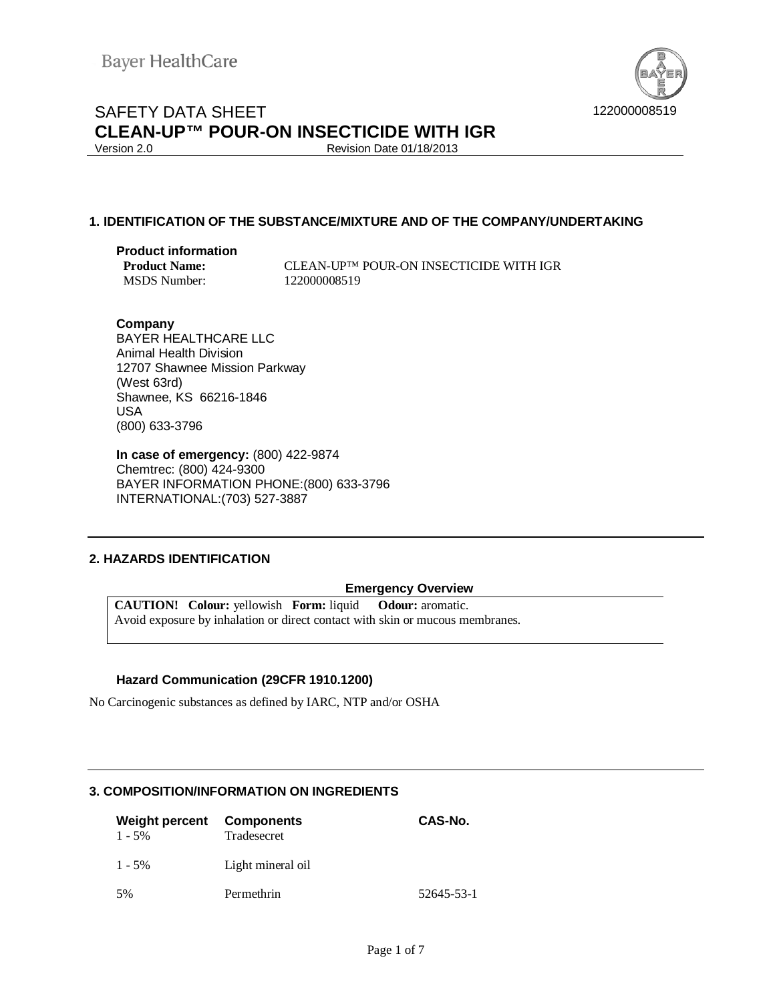

Revision Date 01/18/2013

## **1. IDENTIFICATION OF THE SUBSTANCE/MIXTURE AND OF THE COMPANY/UNDERTAKING**

# **Product information**

MSDS Number: 122000008519

**CLEAN-UP™ POUR-ON INSECTICIDE WITH IGR** 

## **Company**

BAYER HEALTHCARE LLC Animal Health Division 12707 Shawnee Mission Parkway (West 63rd) Shawnee, KS 66216-1846 USA (800) 633-3796

**In case of emergency:** (800) 422-9874 Chemtrec: (800) 424-9300 BAYER INFORMATION PHONE:(800) 633-3796 INTERNATIONAL:(703) 527-3887

## **2. HAZARDS IDENTIFICATION**

## **Emergency Overview**

**CAUTION! Colour:** yellowish **Form:** liquid **Odour:** aromatic. Avoid exposure by inhalation or direct contact with skin or mucous membranes.

## **Hazard Communication (29CFR 1910.1200)**

No Carcinogenic substances as defined by IARC, NTP and/or OSHA

## **3. COMPOSITION/INFORMATION ON INGREDIENTS**

| <b>Weight percent</b><br>$1 - 5\%$ | Components<br>Tradesecret | CAS-No.    |
|------------------------------------|---------------------------|------------|
| $1 - 5\%$                          | Light mineral oil         |            |
| 5%                                 | Permethrin                | 52645-53-1 |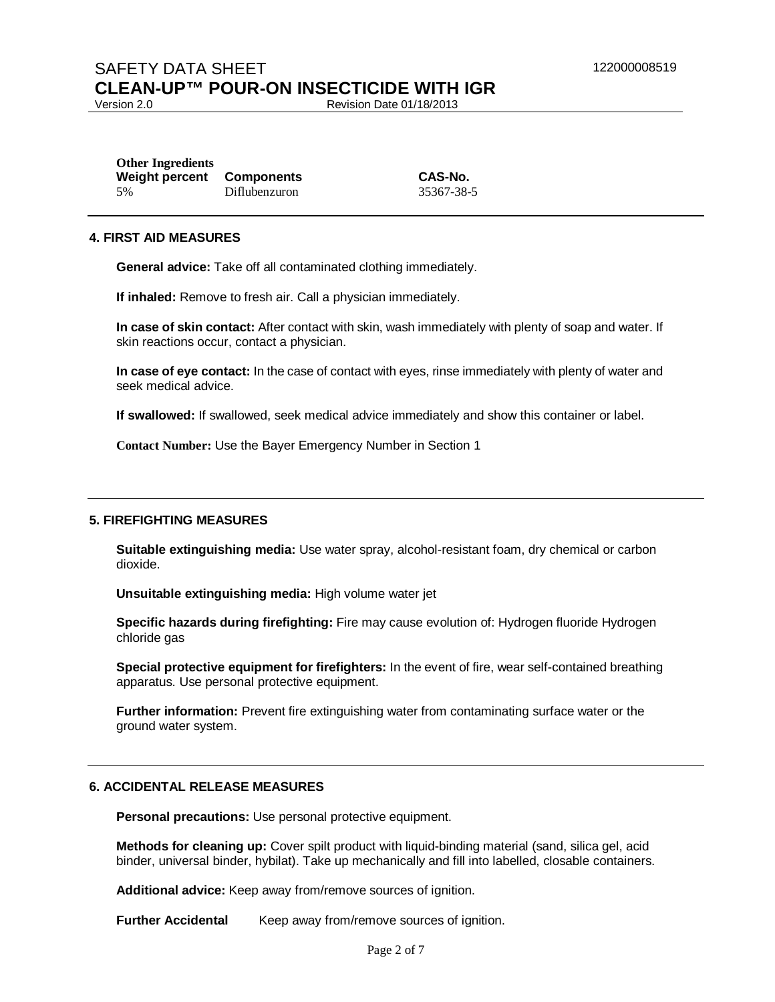Revision Date 01/18/2013

| <b>Other Ingredients</b> |                   |
|--------------------------|-------------------|
| <b>Weight percent</b>    | <b>Components</b> |
| 5%                       | Diflubenzuron     |

**Weight percent Components CAS-No.** 35367-38-5

### **4. FIRST AID MEASURES**

**General advice:** Take off all contaminated clothing immediately.

**If inhaled:** Remove to fresh air. Call a physician immediately.

**In case of skin contact:** After contact with skin, wash immediately with plenty of soap and water. If skin reactions occur, contact a physician.

**In case of eye contact:** In the case of contact with eyes, rinse immediately with plenty of water and seek medical advice.

**If swallowed:** If swallowed, seek medical advice immediately and show this container or label.

**Contact Number:** Use the Bayer Emergency Number in Section 1

#### **5. FIREFIGHTING MEASURES**

**Suitable extinguishing media:** Use water spray, alcohol-resistant foam, dry chemical or carbon dioxide.

**Unsuitable extinguishing media:** High volume water jet

**Specific hazards during firefighting:** Fire may cause evolution of: Hydrogen fluoride Hydrogen chloride gas

**Special protective equipment for firefighters:** In the event of fire, wear self-contained breathing apparatus. Use personal protective equipment.

**Further information:** Prevent fire extinguishing water from contaminating surface water or the ground water system.

## **6. ACCIDENTAL RELEASE MEASURES**

**Personal precautions:** Use personal protective equipment.

**Methods for cleaning up:** Cover spilt product with liquid-binding material (sand, silica gel, acid binder, universal binder, hybilat). Take up mechanically and fill into labelled, closable containers.

**Additional advice:** Keep away from/remove sources of ignition.

**Further Accidental** Keep away from/remove sources of ignition.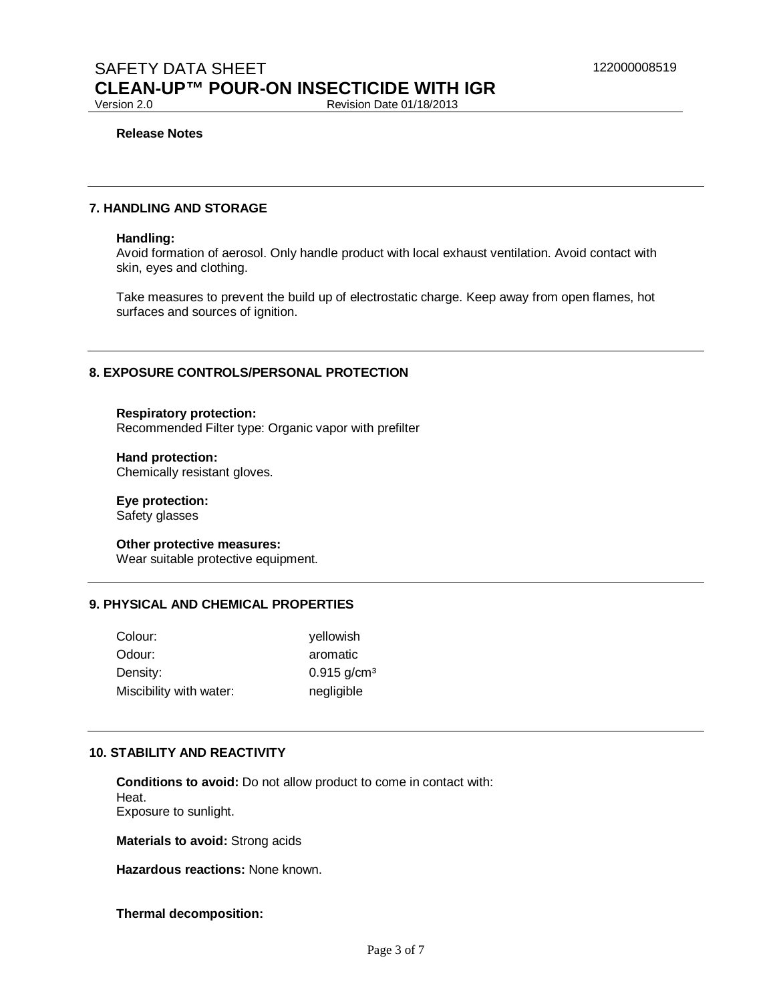Revision Date 01/18/2013

#### **Release Notes**

## **7. HANDLING AND STORAGE**

#### **Handling:**

Avoid formation of aerosol. Only handle product with local exhaust ventilation. Avoid contact with skin, eyes and clothing.

Take measures to prevent the build up of electrostatic charge. Keep away from open flames, hot surfaces and sources of ignition.

### **8. EXPOSURE CONTROLS/PERSONAL PROTECTION**

**Respiratory protection:**  Recommended Filter type: Organic vapor with prefilter

**Hand protection:**  Chemically resistant gloves.

**Eye protection:**  Safety glasses

**Other protective measures:**  Wear suitable protective equipment.

## **9. PHYSICAL AND CHEMICAL PROPERTIES**

| Colour:                 | yellowish                 |
|-------------------------|---------------------------|
| Odour:                  | aromatic                  |
| Density:                | $0.915$ g/cm <sup>3</sup> |
| Miscibility with water: | negligible                |

## **10. STABILITY AND REACTIVITY**

**Conditions to avoid:** Do not allow product to come in contact with: Heat. Exposure to sunlight.

**Materials to avoid:** Strong acids

**Hazardous reactions:** None known.

#### **Thermal decomposition:**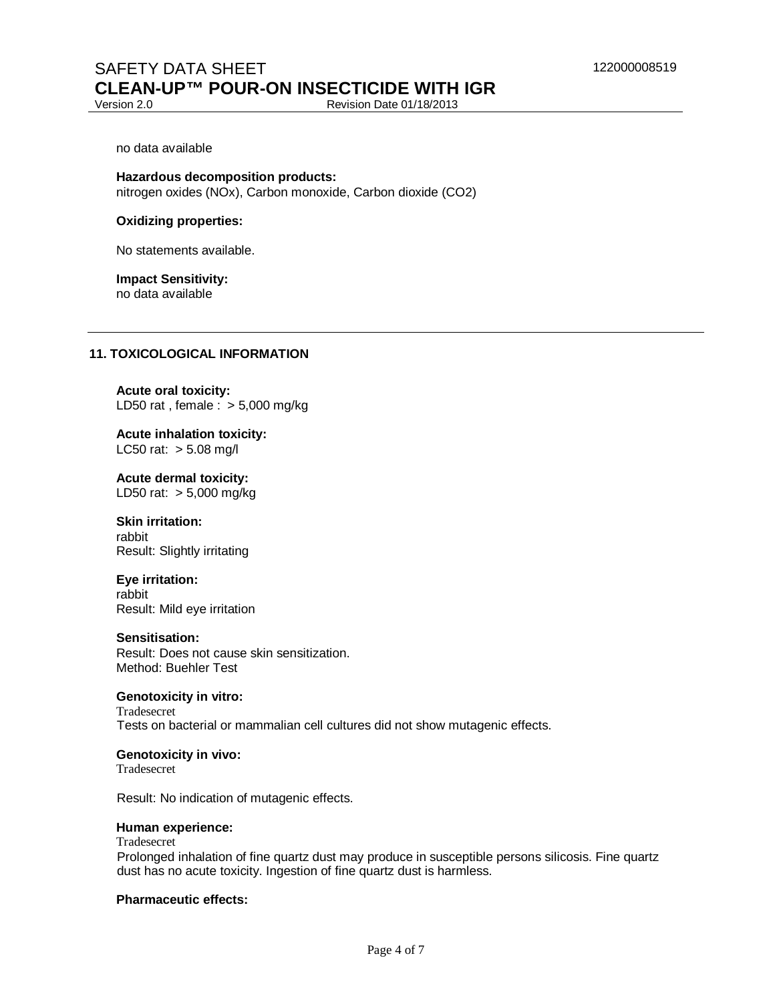Revision Date 01/18/2013

#### no data available

**Hazardous decomposition products:**  nitrogen oxides (NOx), Carbon monoxide, Carbon dioxide (CO2)

#### **Oxidizing properties:**

No statements available.

#### **Impact Sensitivity:**  no data available

## **11. TOXICOLOGICAL INFORMATION**

**Acute oral toxicity:**  LD50 rat, female  $\therefore$  > 5,000 mg/kg

**Acute inhalation toxicity:**  LC50 rat:  $> 5.08$  mg/l

**Acute dermal toxicity:**  LD50 rat: > 5,000 mg/kg

**Skin irritation:**  rabbit Result: Slightly irritating

**Eye irritation:**  rabbit Result: Mild eye irritation

#### **Sensitisation:**

Result: Does not cause skin sensitization. Method: Buehler Test

## **Genotoxicity in vitro:**

Tradesecret Tests on bacterial or mammalian cell cultures did not show mutagenic effects.

#### **Genotoxicity in vivo:**

Tradesecret

Result: No indication of mutagenic effects.

#### **Human experience:**

Tradesecret

Prolonged inhalation of fine quartz dust may produce in susceptible persons silicosis. Fine quartz dust has no acute toxicity. Ingestion of fine quartz dust is harmless.

## **Pharmaceutic effects:**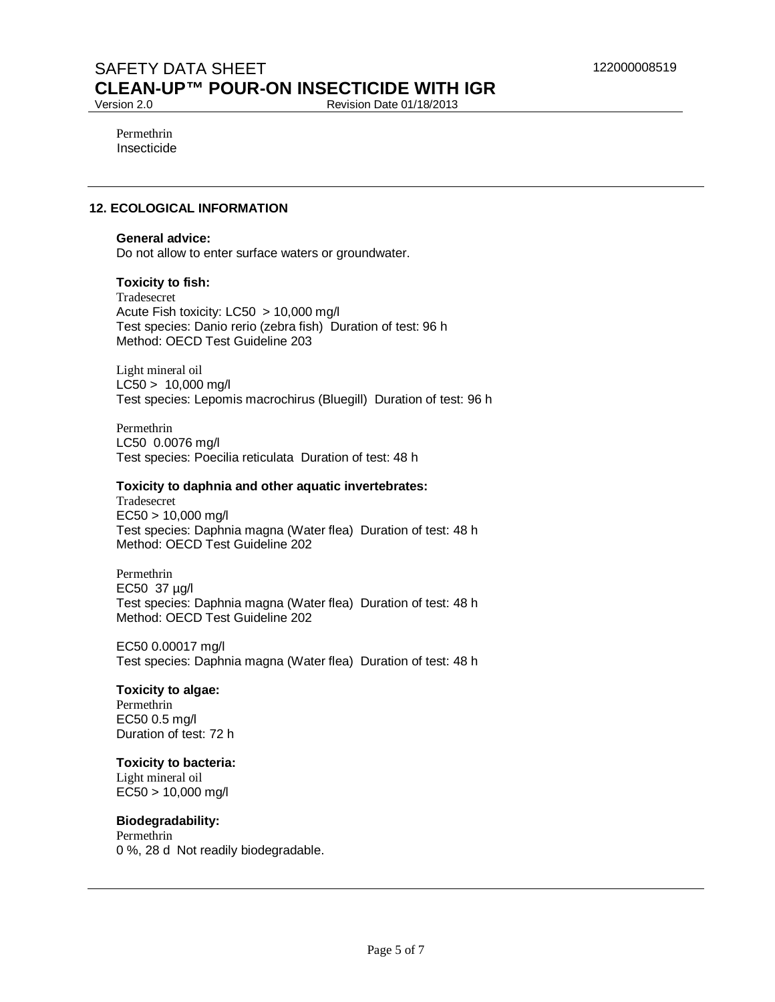Revision Date 01/18/2013

Permethrin Insecticide

## **12. ECOLOGICAL INFORMATION**

#### **General advice:**

Do not allow to enter surface waters or groundwater.

#### **Toxicity to fish:**

Tradesecret Acute Fish toxicity: LC50 > 10,000 mg/l Test species: Danio rerio (zebra fish) Duration of test: 96 h Method: OECD Test Guideline 203

Light mineral oil  $LC50 > 10,000$  ma/l Test species: Lepomis macrochirus (Bluegill) Duration of test: 96 h

Permethrin LC50 0.0076 mg/l Test species: Poecilia reticulata Duration of test: 48 h

#### **Toxicity to daphnia and other aquatic invertebrates:**

Tradesecret EC50 > 10,000 mg/l Test species: Daphnia magna (Water flea) Duration of test: 48 h Method: OECD Test Guideline 202

Permethrin EC50 37 µg/l Test species: Daphnia magna (Water flea) Duration of test: 48 h Method: OECD Test Guideline 202

EC50 0.00017 mg/l Test species: Daphnia magna (Water flea) Duration of test: 48 h

#### **Toxicity to algae:**

Permethrin EC50 0.5 mg/l Duration of test: 72 h

### **Toxicity to bacteria:**

Light mineral oil EC50 > 10,000 mg/l

## **Biodegradability:**

Permethrin 0 %, 28 d Not readily biodegradable.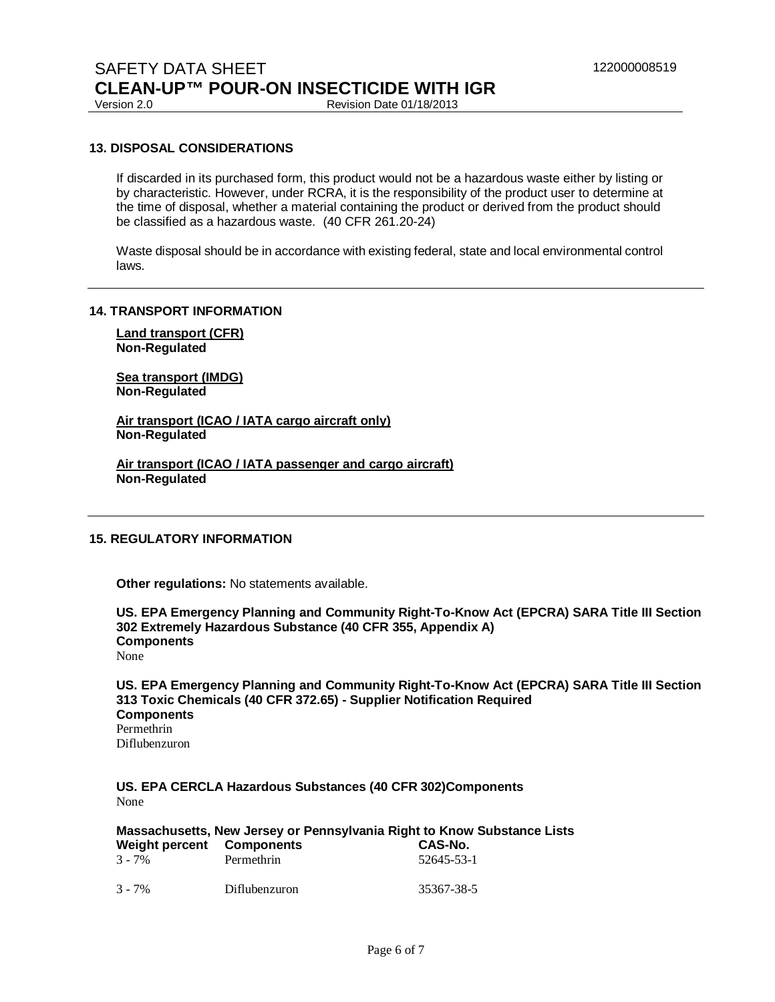Revision Date 01/18/2013

### **13. DISPOSAL CONSIDERATIONS**

If discarded in its purchased form, this product would not be a hazardous waste either by listing or by characteristic. However, under RCRA, it is the responsibility of the product user to determine at the time of disposal, whether a material containing the product or derived from the product should be classified as a hazardous waste. (40 CFR 261.20-24)

Waste disposal should be in accordance with existing federal, state and local environmental control laws.

#### **14. TRANSPORT INFORMATION**

**Land transport (CFR) Non-Regulated**

**Sea transport (IMDG) Non-Regulated**

**Air transport (ICAO / IATA cargo aircraft only) Non-Regulated**

**Air transport (ICAO / IATA passenger and cargo aircraft) Non-Regulated**

#### **15. REGULATORY INFORMATION**

**Other regulations:** No statements available.

**US. EPA Emergency Planning and Community Right-To-Know Act (EPCRA) SARA Title III Section 302 Extremely Hazardous Substance (40 CFR 355, Appendix A) Components**  None

**US. EPA Emergency Planning and Community Right-To-Know Act (EPCRA) SARA Title III Section 313 Toxic Chemicals (40 CFR 372.65) - Supplier Notification Required Components**  Permethrin Diflubenzuron

**US. EPA CERCLA Hazardous Substances (40 CFR 302)Components**  None

| Massachusetts, New Jersey or Pennsylvania Right to Know Substance Lists |               |            |  |  |  |
|-------------------------------------------------------------------------|---------------|------------|--|--|--|
| Weight percent Components                                               |               | CAS-No.    |  |  |  |
| $3 - 7\%$                                                               | Permethrin    | 52645-53-1 |  |  |  |
| $3 - 7\%$                                                               | Diflubenzuron | 35367-38-5 |  |  |  |